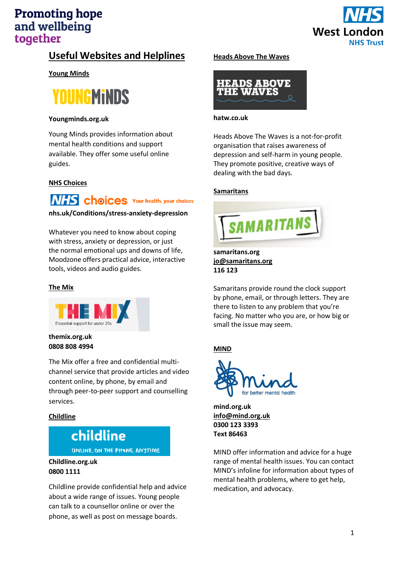

## **Useful Websites and Helplines**

**Young Minds** 



#### **Youngminds.org.uk**

Young Minds provides information about mental health conditions and support available. They offer some useful online guides.

### **NHS Choices**

**NHS** choices Your health, your choices

#### **nhs.uk/Conditions/stress-anxiety-depression**

Whatever you need to know about coping with [stress,](https://www.nhs.uk/Conditions/stress-anxiety-depression/Pages/understanding-stress.aspx) [anxiety](https://www.nhs.uk/Conditions/stress-anxiety-depression/Pages/understanding-panic.aspx) o[r depression,](https://www.nhs.uk/Conditions/stress-anxiety-depression/Pages/low-mood-and-depression.aspx) or just the normal emotional ups and downs of life, Moodzone offers practical advice, interactive tools, videos and audio guides.

#### **The Mix**



#### **themix.org.uk [0808 808 4994](tel:08088084994)**

The Mix offer a free and confidential multichannel service that provide articles and video content online, by phone, by email and through peer-to-peer support and counselling services.

#### **Childline**

# childline

ONLINE, ON THE PHONE, ANYTIME

#### **Childline.org.uk 0800 1111**

Childline provide confidential help and advice about a wide range of issues. Young people can talk to a counsellor online or over the phone, as well as post on message boards.

#### **Heads Above The Waves**



#### **hatw.co.uk**

Heads Above The Waves is a not-for-profit organisation that raises awareness of depression and self-harm in young people. They promote positive, creative ways of dealing with the bad days.

#### **Samaritans**



**samaritans.org [jo@samaritans.org](mailto:jo@samaritans.org) 116 123**

Samaritans provide round the clock support by phone, email, or through letters. They are there to listen to any problem that you're facing. No matter who you are, or how big or small the issue may seem.

### **MIND**



**mind.org.uk [info@mind.org.uk](mailto:info@mind.org.uk) 0300 123 3393 Text 86463**

MIND offer information and advice for a huge range of mental health issues. You can contact MIND's infoline for information about types of mental health problems, where to get help, medication, and advocacy.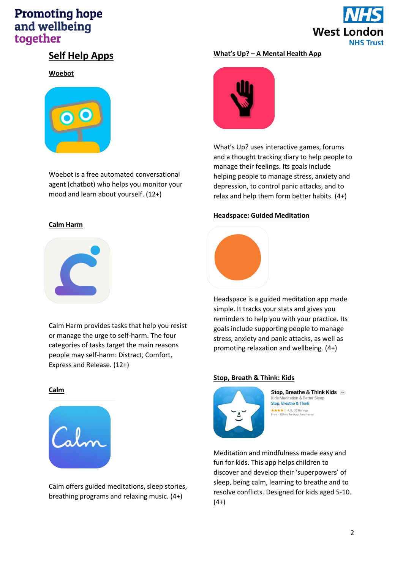

## **Self Help Apps**

**Woebot**



Woebot is a free automated conversational agent (chatbot) who helps you monitor your mood and learn about yourself. (12+)

## **Calm Harm**



Calm Harm provides tasks that help you resist or manage the urge to self-harm. The four categories of tasks target the main reasons people may self-harm: Distract, Comfort, Express and Release. (12+)

### **What's Up? – A Mental Health App**



What's Up? uses interactive games, forums and a thought tracking diary to help people to manage their feelings. Its goals include helping people to manage stress, anxiety and depression, to control panic attacks, and to relax and help them form better habits. (4+)

#### **Headspace: Guided Meditation**



Headspace is a guided meditation app made simple. It tracks your stats and gives you reminders to help you with your practice. Its goals include supporting people to manage stress, anxiety and panic attacks, as well as promoting relaxation and wellbeing. (4+)

#### **Stop, Breath & Think: Kids**



Stop, Breathe & Think Kids Kids Meditation & Better \$ Stop, Breathe & Think ★★★★☆ 4.0, 55 Ratings<br>Free · Offers In-App Purchases

Meditation and mindfulness made easy and fun for kids. This app helps children to discover and develop their 'superpowers' of sleep, being calm, learning to breathe and to resolve conflicts. Designed for kids aged 5-10.  $(4+)$ 

#### **Calm**



Calm offers guided meditations, sleep stories, breathing programs and relaxing music. (4+)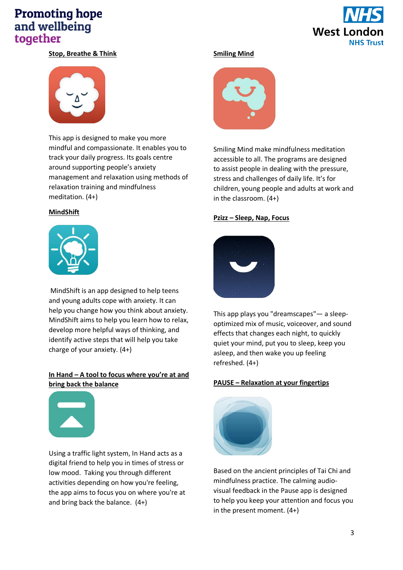

### **Stop, Breathe & Think**



This app is designed to make you more mindful and compassionate. It enables you to track your daily progress. Its goals centre around supporting people's anxiety management and relaxation using methods of relaxation training and mindfulness meditation. (4+)

#### **MindShift**



MindShift is an app designed to help teens and young adults cope with anxiety. It can help you change how you think about anxiety. MindShift aims to help you learn how to relax, develop more helpful ways of thinking, and identify active steps that will help you take charge of your anxiety. (4+)

### **In Hand – A tool to focus where you're at and bring back the balance**



Using a traffic light system, In Hand acts as a digital friend to help you in times of stress or low mood. Taking you through different activities depending on how you're feeling, the app aims to focus you on where you're at and bring back the balance. (4+)

#### **Smiling Mind**



Smiling Mind make mindfulness meditation accessible to all. The programs are designed to assist people in dealing with the pressure, stress and challenges of daily life. It's for children, young people and adults at work and in the classroom. (4+)

#### **Pzizz – Sleep, Nap, Focus**



This app plays you "dreamscapes"— a sleepoptimized mix of music, voiceover, and sound effects that changes each night, to quickly quiet your mind, put you to sleep, keep you asleep, and then wake you up feeling refreshed. (4+)

#### **PAUSE – Relaxation at your fingertips**



Based on the ancient principles of Tai Chi and mindfulness practice. The calming audiovisual feedback in the Pause app is designed to help you keep your attention and focus you in the present moment. (4+)